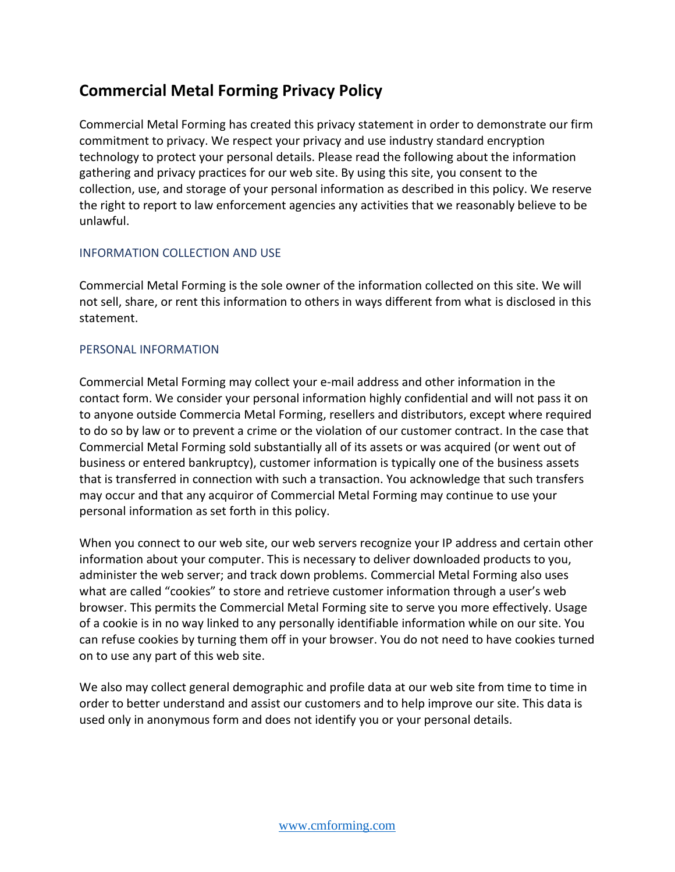# **Commercial Metal Forming Privacy Policy**

Commercial Metal Forming has created this privacy statement in order to demonstrate our firm commitment to privacy. We respect your privacy and use industry standard encryption technology to protect your personal details. Please read the following about the information gathering and privacy practices for our web site. By using this site, you consent to the collection, use, and storage of your personal information as described in this policy. We reserve the right to report to law enforcement agencies any activities that we reasonably believe to be unlawful.

### INFORMATION COLLECTION AND USE

Commercial Metal Forming is the sole owner of the information collected on this site. We will not sell, share, or rent this information to others in ways different from what is disclosed in this statement.

## PERSONAL INFORMATION

Commercial Metal Forming may collect your e-mail address and other information in the contact form. We consider your personal information highly confidential and will not pass it on to anyone outside Commercia Metal Forming, resellers and distributors, except where required to do so by law or to prevent a crime or the violation of our customer contract. In the case that Commercial Metal Forming sold substantially all of its assets or was acquired (or went out of business or entered bankruptcy), customer information is typically one of the business assets that is transferred in connection with such a transaction. You acknowledge that such transfers may occur and that any acquiror of Commercial Metal Forming may continue to use your personal information as set forth in this policy.

When you connect to our web site, our web servers recognize your IP address and certain other information about your computer. This is necessary to deliver downloaded products to you, administer the web server; and track down problems. Commercial Metal Forming also uses what are called "cookies" to store and retrieve customer information through a user's web browser. This permits the Commercial Metal Forming site to serve you more effectively. Usage of a cookie is in no way linked to any personally identifiable information while on our site. You can refuse cookies by turning them off in your browser. You do not need to have cookies turned on to use any part of this web site.

We also may collect general demographic and profile data at our web site from time to time in order to better understand and assist our customers and to help improve our site. This data is used only in anonymous form and does not identify you or your personal details.